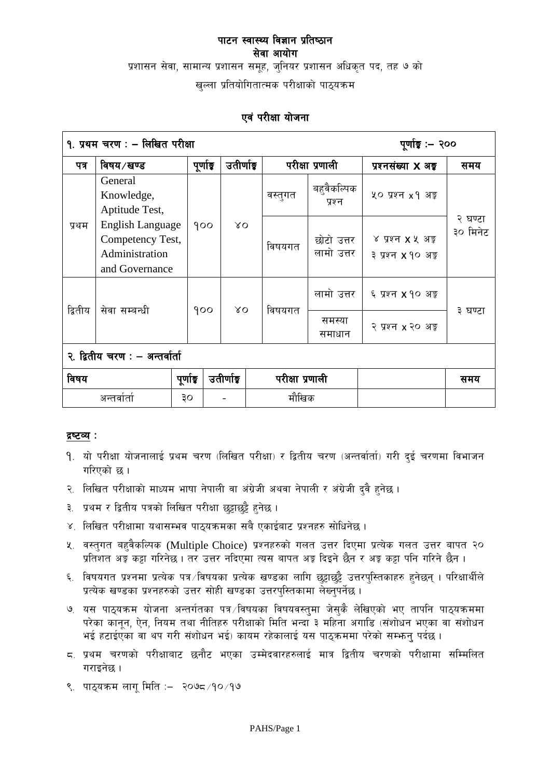प्रशासन सेवा, सामान्य प्रशासन समूह, जुनियर प्रशासन अधिकृत पद, तह ७ को

खुल्ला प्रतियोगितात्मक परीक्षाको पाठ्यक्रम

# एवं परीक्षा योजना

| १. प्रथम चरण : - लिखित परीक्षा<br>पूर्णाङ्ग :– २०० |                                                                          |           |             |  |                 |                          |                                                       |                     |
|----------------------------------------------------|--------------------------------------------------------------------------|-----------|-------------|--|-----------------|--------------------------|-------------------------------------------------------|---------------------|
| पत्र                                               | विषय ∕खण्ड                                                               | पूर्णाङ्क | उतीर्णाइ    |  |                 | परीक्षा प्रणाली          | प्रश्नसंख्या X अ <del>ङ्</del>                        | समय                 |
| प्रथम                                              | General<br>Knowledge,<br>Aptitude Test,                                  |           |             |  | वस्तुगत         | बहुवैकल्पिक<br>प्रश्न    | ५० प्रश्न x १ अङ्क                                    | २ घण्टा<br>३० मिनेट |
|                                                    | English Language<br>Competency Test,<br>Administration<br>and Governance | 900       | $\alpha$    |  | विषयगत          | छोटो उत्तर<br>लामो उत्तर | ४ प्रश्न <b>x</b> ५ अङ्क<br>३ प्रश्न <b>x</b> १० अङ्क |                     |
| द्वितीय                                            | सेवा सम्बन्धी                                                            | 900       | $\lambda$ O |  | विषयगत          | लामो उत्तर               | ६ प्रश्न <b>x</b> १० अङ्क                             | ३ घण्टा             |
|                                                    |                                                                          |           |             |  |                 | समस्या<br>समाधान         | २ प्रश्न x २० अङ्क                                    |                     |
| २. द्वितीय चरण : – अन्तर्वार्ता                    |                                                                          |           |             |  |                 |                          |                                                       |                     |
| विषय                                               |                                                                          | पूर्णाङ्क | उतीर्णाइ    |  | परीक्षा प्रणाली |                          |                                                       | समय                 |
| अन्तर्वार्ता                                       |                                                                          | ЗO        |             |  | मौखिक           |                          |                                                       |                     |

## द्रष्टव्य :

- 9. यो परीक्षा योजनालाई प्रथम चरण (लिखित परीक्षा) र द्वितीय चरण (अन्तर्वार्ता) गरी दुई चरणमा विभाजन गरिएको छ ।
- २. लिखित परीक्षाको माध्यम भाषा नेपाली वा अंग्रेजी अथवा नेपाली र अंग्रेजी दुवै हुनेछ ।
- ३. प्रथम र द्वितीय पत्रको लिखित परीक्षा छट्टाछुट्टै हुनेछ ।
- ४. लिखित परीक्षामा यथासम्भव पाठ्यक्रमका सबै एकाईबाट प्रश्नहरु सोधिनेछ ।
- ५. वस्तुगत बहुवैकल्पिक (Multiple Choice) प्रश्नहरुको गलत उत्तर दिएमा प्रत्येक गलत उत्तर बापत २० प्रतिशत अङ्क कट्टा गरिनेछ । तर उत्तर नदिएमा त्यस बापत अङ्क दिइने छैन र अङ्क कट्टा पनि गरिने छैन ।
- ६. विषयगत प्रश्नमा प्रत्येक पत्र ∕विषयका प्रत्येक खण्डका लागि छुट्टाछुट्टै उत्तरपुस्तिकाहरु हुनेछन् । परिक्षार्थीले प्रत्येक खण्डका प्रश्नहरुको उत्तर सोही खण्डका उत्तरपुस्तिकामा लेख्नुपर्नेछ ।
- ७. यस पाठ्यक्रम योजना अन्तर्गतका पत्र विषयका विषयवस्तुमा जेसुकै लेखिएको भए तापनि पाठ्यक्रममा परेका कानून, ऐन, नियम तथा नीतिहरु परीक्षाको मिति भन्दा ३ महिना अगाडि (संशोधन भएका वा संशोधन भई हटाईएका वा थप गरी संशोधन भई) कायम रहेकालाई यस पाठकममा परेको सम्भन्न पर्दछ ।
- ८. प्रथम चरणको परीक्षाबाट छनौट भएका उम्मेदवारहरुलाई मात्र द्वितीय चरणको परीक्षामा सम्मिलित गराइनेछ ।
- ९. पाठ्यक्रम लागू मिति :– २०७८ ⁄ १० ⁄ १७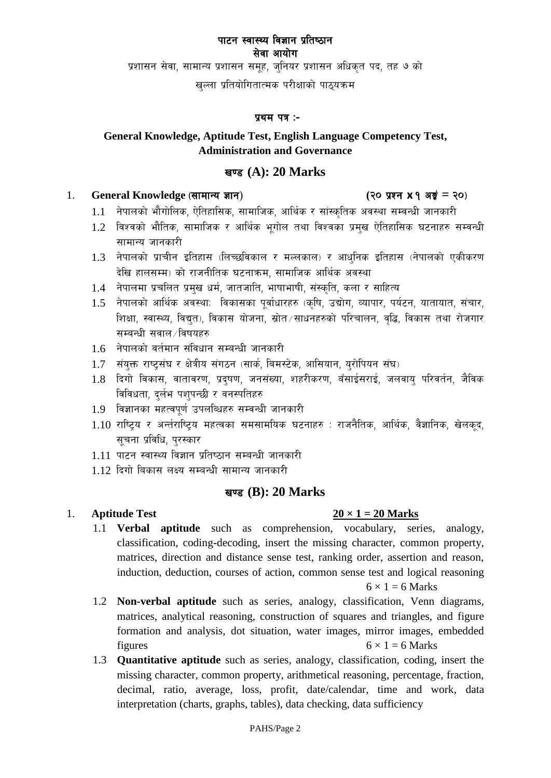प्रशासन सेवा, सामान्य प्रशासन समूह, जुनियर प्रशासन अधिकृत पद, तह ७ को

खल्ला प्रतियोगितात्मक परीक्षाको पाठ्यक्रम

#### प्रथम पत्र :-

# **General Knowledge, Aptitude Test, English Language Competency Test, Administration and Governance**

# v08 **(A): 20 Marks**

#### 1. General Knowledge (सामान्य ज्ञान) (२० प्रश्न x १ अड़्रं = २०)

- 
- $1.1$  नेपालको भौगोलिक, ऐतिहासिक, सामाजिक, आर्थिक र सांस्कृतिक अवस्था सम्वन्धी जानकारी
- $1.2$  विश्वको भौतिक, सामाजिक र आर्थिक भगोल तथा विश्वका प्रमुख ऐतिहासिक घटनाहरु सम्वन्धी सामान्य जानकारी
- $1.3$  नेपालको प्राचीन इतिहास (लिच्छविकाल र मल्लकाल) र आधनिक इतिहास (नेपालको एकीकरण देखि हालसम्म) को राजनीतिक घटनाक्रम, सामाजिक आर्थिक अवस्था
- 1.4 नेपालमा प्रचलित प्रमुख धर्म, जातजाति, भाषाभाषी, संस्कृति, कला र साहित्य
- $1.5$  नेपालको आर्थिक अवस्था: विकासका पुर्वाधारहरु (कृषि, उद्योग, व्यापार, पर्यटन, यातायात, संचार, शिक्षा, स्वास्थ्य, विद्युत), विकास योजना, स्रोत∕साधनहरुको परिचालन, वद्धि, विकास तथा रोजगार सम्बन्धी सवाल /विषयहरु
- $1.6$  नेपालको वर्तमान संविधान सम्बन्धी जानकारी
- 1.7 संयुक्त राष्ट्संघ र क्षेत्रीय संगठन (सार्क, बिमस्टेक, आसियान, युरोपियन संघ)
- $1.8$  दिगो विकास, वातावरण, प्रदुषण, जनसंख्या, शहरीकरण, बँसाईसराई, जलवाय् परिवर्तन, जैविक विविधता, दर्लभ पशुपन्छी र वनस्पतिहरु
- 1.9 विज्ञानका महत्वपर्ण उपलब्धिहरु सम्वन्धी जानकारी
- $1.10$  राष्ट्रिय र अर्न्तराष्ट्रिय महत्वका समसामयिक घटनाहरु : राजनैतिक, आर्थिक, वैज्ञानिक, खेलकुद, सचना प्रविधि, परस्कार
- 1.11 पाटन स्वास्थ्य विज्ञान प्रतिष्ठान सम्बन्धी जानकारी
- $1.12$  दिगो बिकास लक्ष्य सम्बन्धी सामान्य जानकारी

# **खण्ड (B): 20 Marks**

## 1. **Aptitude Test**  $20 \times 1 = 20$  **Marks**

- 1.1 **Verbal aptitude** such as comprehension, vocabulary, series, analogy, classification, coding-decoding, insert the missing character, common property, matrices, direction and distance sense test, ranking order, assertion and reason, induction, deduction, courses of action, common sense test and logical reasoning  $6 \times 1 = 6$  Marks
- 1.2 **Non-verbal aptitude** such as series, analogy, classification, Venn diagrams, matrices, analytical reasoning, construction of squares and triangles, and figure formation and analysis, dot situation, water images, mirror images, embedded figures  $6 \times 1 = 6$  Marks
- 1.3 **Quantitative aptitude** such as series, analogy, classification, coding, insert the missing character, common property, arithmetical reasoning, percentage, fraction, decimal, ratio, average, loss, profit, date/calendar, time and work, data interpretation (charts, graphs, tables), data checking, data sufficiency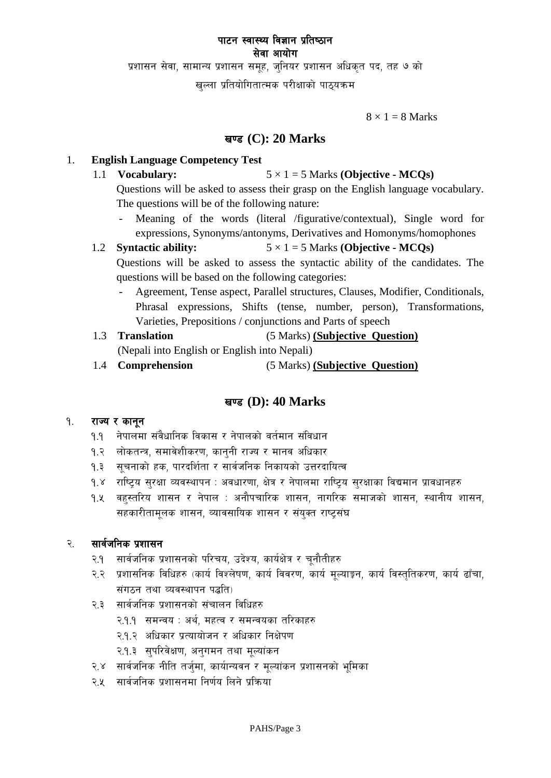प्रशासन सेवा, सामान्य प्रशासन समूह, जुनियर प्रशासन अधिकृत पद, तह ७ को

खल्ला प्रतियोगितात्मक परीक्षाको पाठ्यक्रम

 $8 \times 1 = 8$  Marks

# v08 **(C): 20 Marks**

#### 1. **English Language Competency Test**

1.1 **Vocabulary:**  $5 \times 1 = 5$  Marks **(Objective - MCQs)** 

Questions will be asked to assess their grasp on the English language vocabulary. The questions will be of the following nature:

- Meaning of the words (literal /figurative/contextual), Single word for expressions, Synonyms/antonyms, Derivatives and Homonyms/homophones
- 1.2 **Syntactic ability:**  $5 \times 1 = 5$  Marks **(Objective MCOs)** Questions will be asked to assess the syntactic ability of the candidates. The

questions will be based on the following categories:

- Agreement, Tense aspect, Parallel structures, Clauses, Modifier, Conditionals, Phrasal expressions, Shifts (tense, number, person), Transformations, Varieties, Prepositions / conjunctions and Parts of speech
- 1.3 **Translation** (5 Marks) **(Subjective Question)** (Nepali into English or English into Nepali)
- 1.4 **Comprehension** (5 Marks) **(Subjective Question)**

# v08 **(D): 40 Marks**

#### १. राज्य र कानून

- <u>9.9 नेपालमा संवैधानिक विकास र नेपालको वर्तमान संविधान</u>
- **१.२ लोकतन्त्र, समावेशीकरण, कानुनी राज्य र मानव अधिकार**
- १.३ सूचनाको हक, पारदर्शिता र सार्वजनिक निकायको उत्तरदायित्व
- <u>१</u>.४ राष्ट्रिय सुरक्षा व्यवस्थापन : अवधारणा, क्षेत्र र नेपालमा राष्ट्रिय सुरक्षाका विद्यमान प्रावधानहरु
- <u>9.५ वहस्तरिय शासन र नेपाल : अनौपचारिक शासन, नागरिक समाजको शासन, स्थानीय शासन,</u> सहकारीतामलक शासन, व्यावसायिक शासन र संयुक्त राष्टसंघ

## २. सार्वजनिक प्रशासन

- २.१ सार्वजनिक प्रशासनको परिचय, उदेश्य, कार्यक्षेत्र र चुनौतीहरु
- २.२ प्रशासनिक विधिहरु (कार्य विश्लेषण, कार्य विवरण, कार्य मूल्याङ्कन, कार्य विस्तृतिकरण, कार्य ढाँचा, संगठन तथा व्यवस्थापन पद्धति)
- २.३ सार्वजनिक प्रशासनको संचालन विधिहरु
	- २.१.१ समन्वय : अर्थ, महत्व र समन्वयका तरिकाहरु
	- २.१.२ अधिकार प्रत्यायोजन र अधिकार निक्षेपण
	- २.१.३ सुपरिवेक्षण, अनुगमन तथा मूल्यांकन
- २.४ सार्वजनिक नीति तर्जुमा, कार्यान्यवन र मूल्यांकन प्रशासनको भूमिका
- २.४ सार्वजनिक प्रशासनमा निर्णय लिने प्रक्रिया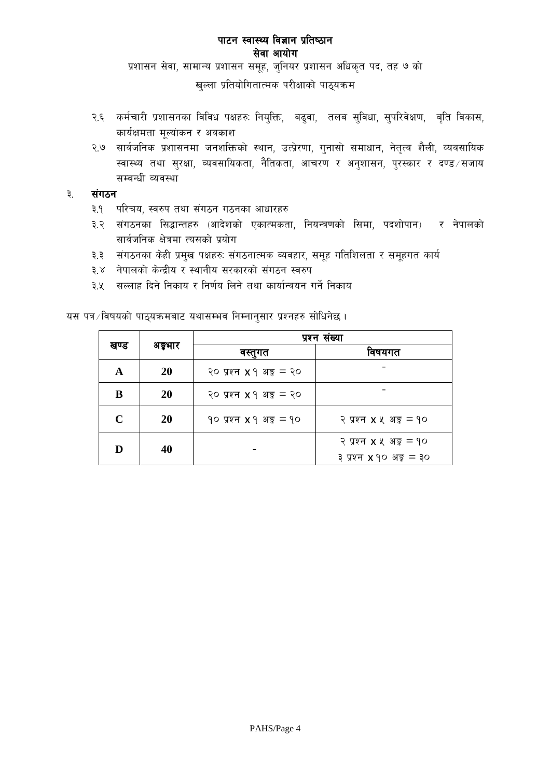प्रशासन सेवा, सामान्य प्रशासन समूह, जुनियर प्रशासन अधिकृत पद, तह ७ को

खुल्ला प्रतियोगितात्मक परीक्षाको पाठ्यक्रम

- २.६ कर्मचारी प्रशासनका विविध पक्षहरुः नियुक्ति, बढुवा, तलब सुविधा, सुपरिवेक्षण, बृति विकास, कार्यक्षमता मूल्यांकन र अवकाश
- २.७ सार्वजनिक प्रशासनमा जनशक्तिको स्थान, उत्प्रेरणा, गुनासो समाधान, नेतृत्व शैली, व्यवसायिक स्वास्थ्य तथा सुरक्षा, व्यवसायिकता, नैतिकता, आचरण र अनुशासन, पुरस्कार र दण्ड सजाय सम्बन्धी व्यवस्था

#### संगठन ३.

- ३.१ परिचय, स्वरुप तथा संगठन गठनका आधारहरु
- ३.२ संगठनका सिद्धान्तहरु (आदेशको एकात्मकता, नियन्त्रणको सिमा, पदशोपान) र नेपालको सार्वजनिक क्षेत्रमा त्यसको प्रयोग
- ३.३ संगठनका केही प्रमुख पक्षहरुः संगठनात्मक व्यवहार, समूह गतिशिलता र समूहगत कार्य
- ३.४ नेपालको केन्द्रीय र स्थानीय सरकारको संगठन स्वरुप
- ३.५ सल्लाह दिने निकाय र निर्णय लिने तथा कार्यान्वयन गर्ने निकाय

|             |         | प्रश्न सख्या                           |                                                                       |  |  |  |
|-------------|---------|----------------------------------------|-----------------------------------------------------------------------|--|--|--|
| खण्ड        | अङ्गभार | वस्तुगत                                | विषयगत                                                                |  |  |  |
| A           | 20      | २० प्रश्न $x \, 9$ अङ्क $=$ २०         |                                                                       |  |  |  |
| B           | 20      | २० प्रश्न $x \, 9$ अङ्क $=$ २०         |                                                                       |  |  |  |
| $\mathbf C$ | 20      | $90 \,$ प्रश्न $x \, 9 \,$ अङ्क $= 90$ | २ प्रश्न $x \times x$ अङ्क $=$ १०                                     |  |  |  |
| D           | 40      |                                        | २ प्रश्न $x \times x$ अङ्ग $=$ १०<br>३ प्रश्न <b>x</b> १० अङ्क $=$ ३० |  |  |  |

यस पत्र /विषयको पाठ्यक्रमबाट यथासम्भव निम्नानुसार प्रश्नहरु सोधिनेछ ।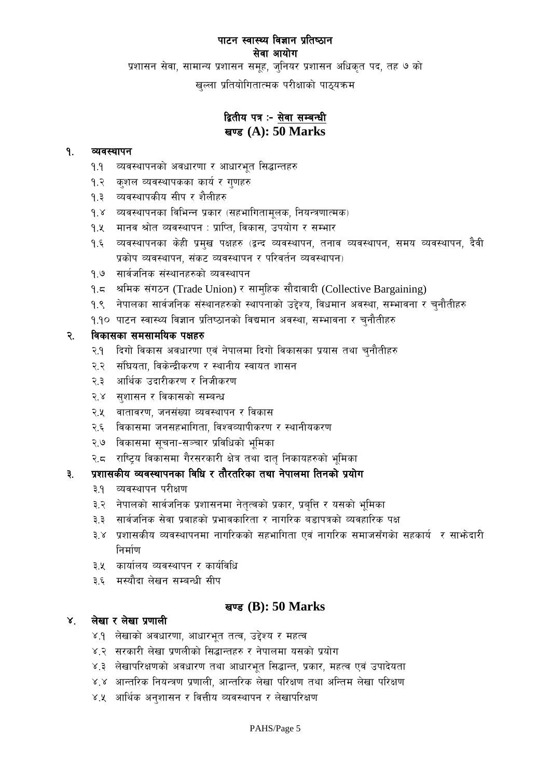प्रशासन सेवा, सामान्य प्रशासन समूह, जुनियर प्रशासन अधिकृत पद, तह ७ को

खुल्ला प्रतियोगितात्मक परीक्षाको पाठ्यक्रम

# द्वितीय पत्र :- सेवा सम्बन्धी **खण्ड (A): 50 Marks**

#### १. व्यवस्थापन

- <u>१.</u>१ व्यवस्थापनको अवधारणा र आधारभूत सिद्धान्तहरु
- १.२ कुशल व्यवस्थापकका कार्य र गुणहरु
- १.३ व्यवस्थापकीय सीप र शैलीहर<mark>ु</mark>
- १.४ व्यवस्थापनका विभिन्न प्रकार (सहभागितामुलक, नियन्त्रणात्मक)
- <u>१.</u>४ मानव श्रोत व्यवस्थापन : प्राप्ति, विकास, उपयोग र सम्भार
- १.६ व्यवस्थापनका केही प्रमुख पक्षहरु (द्वन्द व्यवस्थापन, तनाव व्यवस्थापन, समय व्यवस्थापन, दैवी प्रकोप व्यवस्थापन, संकट व्यवस्थापन र परिवर्तन व्यवस्थापन)
- १.७ सार्वजनिक संस्थानहरुको व्यवस्थापन
- १.८ श्रीमक संगठन (Trade Union) र सामुहिक सौदावादी (Collective Bargaining)
- १.९ नेपालका सार्वजनिक संस्थानहरुको स्थापनाको उद्देश्य, विधमान अवस्था, सम्भावना र चुनौतीहरु
- 9.90 पाटन स्वास्थ्य विज्ञान प्रतिष्ठानको विद्यमान अवस्था, सम्भावना र चनौतीहरु

#### २. विकासका समसामयिक पक्षहरु

- २.१ दिगो विकास अवधारणा एवं नेपालमा दिगो विकासका प्रयास तथा चुनौतीहरु
- २.२ संघियता, विकेन्द्रीकरण र स्थानीय स्वायत शासन
- २.३ आर्थिक उदारीकरण र निजीकरण
- २.४ सुशासन र विकासको सम्बन्ध
- २.५ वातावरण, जनसंख्या व्यवस्थापन र विकास
- २.६ विकासमा जनसहभागिता, विश्वव्यापीकरण र स्थानीयकरण
- २.७ विकासमा सूचना-सञ्चार प्रविधिको भूमिका
- २.८ राष्ट्रिय विकासमा गैरसरकारी क्षेत्र तथा दातृ निकायहरुको भूमिका

# ३. प्रशासकीय व्यवस्थापनका विधि र तौरतरिका तथा नेपालमा तिनको प्रयोग

- ३.१ व्यवस्थापन परीक्षण
- ३.२ नेपालको सार्वजनिक प्रशासनमा नेतृत्वको प्रकार, प्रबुत्ति र यसको भूमिका
- ३.३ सार्वजनिक सेवा प्रवाहको प्रभावकारिता र नागरिक बडापत्रको व्यवहारिक पक्ष
- ३.४ प्रशासकीय व्यवस्थापनमा नागरिकको सहभागिता एवं नागरिक समाजसँगको सहकार्य र साभ्रेदारी निर्माण
- ३.५ कार्यालय व्यवस्थापन र कार्यविधि
- ३.६ मस्यौदा लेखन सम्बन्धी सीप

## **खण्ड (B): 50 Marks**

## ४. लेखारलेखा प्रणाली

- ४.१ लेखाको अवधारणा, आधारभूत तत्व, उद्देश्य र महत्व
- ४.२ ;सरकारी लेखा प्रणलीको सिद्धान्तहरु र नेपालमा यसको प्रयोग
- ४.३ लेखापरिक्षणको अवधारण तथा आधारभूत सिद्धान्त, प्रकार, महत्व एवं उपादेयता
- ४.४ आन्तरिक नियन्त्रण प्रणाली, आन्तरिक लेखा परिक्षण तथा अन्तिम लेखा परिक्षण
- ४.५ आर्थिक अनुशासन र वित्तीय व्यवस्थापन र लेखापरिक्षण